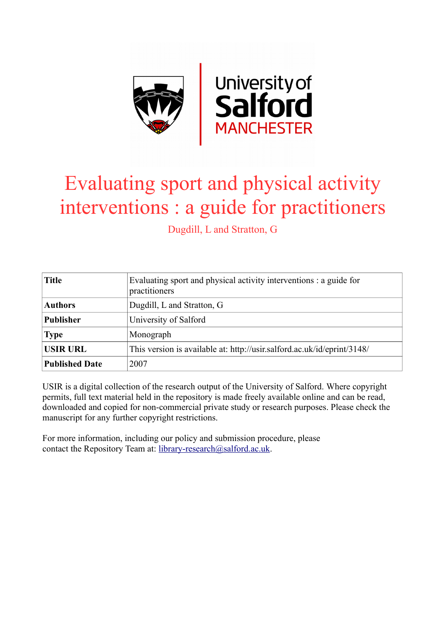

# Evaluating sport and physical activity interventions : a guide for practitioners

Dugdill, L and Stratton, G

| <b>Title</b>          | Evaluating sport and physical activity interventions : a guide for<br>practitioners |  |
|-----------------------|-------------------------------------------------------------------------------------|--|
| <b>Authors</b>        | Dugdill, L and Stratton, G                                                          |  |
| <b>Publisher</b>      | University of Salford                                                               |  |
| <b>Type</b>           | Monograph                                                                           |  |
| <b>USIR URL</b>       | This version is available at: http://usir.salford.ac.uk/id/eprint/3148/             |  |
| <b>Published Date</b> | 2007                                                                                |  |

USIR is a digital collection of the research output of the University of Salford. Where copyright permits, full text material held in the repository is made freely available online and can be read, downloaded and copied for non-commercial private study or research purposes. Please check the manuscript for any further copyright restrictions.

For more information, including our policy and submission procedure, please contact the Repository Team at: [library-research@salford.ac.uk.](mailto:library-research@salford.ac.uk)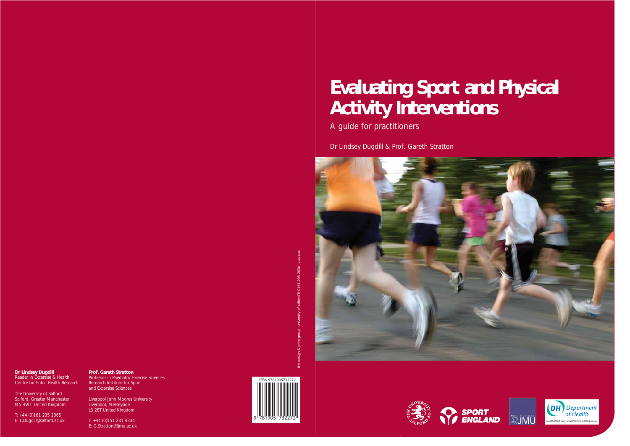

# **Evaluating Sport and Physical Activity Interventions**

A guide for practitioners

Dr Lindsey Dugdill & Prof. Gareth Stratton



author names





### **Dr Lindsey Dugdill** Reader in Excersise & Health

Centre for Pubic Health Research

The University of Salford Salford, Greater Manchester M5 4WT. United Kingdom

T: +44 (0)161 295 2365 E: L.Dugdill@salford.ac.uk

**Prof. Gareth Stratton** Professor in Paediatric Exercise Sciences Research Institute for Sport and Excersise Sciences

Liverpool John Moores University Liverpool, Merseyside L3 2ET United Kingdom

T: +44 (0)151 231 4334 E: G.Stratton@ljmu.ac.uk the design & print group, university of salford T: 0161 295 2630 21023//07



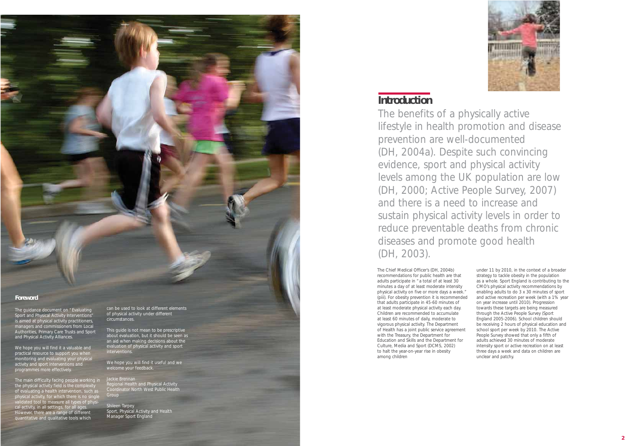The Chief Medical Officer's (DH, 2004b) recommendations for public health are that adults participate in "a total of at least 30 minutes a day of at least moderate intensity physical activity on five or more days a week." (piii). For obesity prevention it is recommended that adults participate in 45-60 minutes of at least moderate physical activity each day. Children are recommended to accumulate at least 60 minutes of daily, moderate to vigorous physical activity. The Department of Health has a joint public service agreement with the Treasury, the Department for Education and Skills and the Department for Culture, Media and Sport (DCMS, 2002) to halt the year-on-year rise in obesity among children



under 11 by 2010, in the context of a broader strategy to tackle obesity in the population as a whole. Sport England is contributing to the CMO's physical activity recommendations by enabling adults to do 3 x 30 minutes of sport and active recreation per week (with a 1% year on year increase until 2010). Progression towards these targets are being measured through the Active People Survey (Sport England 2005-2006). School children should be receiving 2 hours of physical education and school sport per week by 2010. The Active People Survey showed that only a fifth of adults achieved 30 minutes of moderate intensity sport or active recreation on at least three days a week and data on children are unclear and patchy.

We hope you will find it a valuable and practical resource to support you when monitoring and evaluating your physical activity and sport interventions and programmes more effectively.

# **Introduction**

Shileen Tarpey Sport, Physical Activity and Health Manager Sport England

The benefits of a physically active lifestyle in health promotion and disease prevention are well-documented (DH, 2004a). Despite such convincing evidence, sport and physical activity levels among the UK population are low (DH, 2000; Active People Survey, 2007) and there is a need to increase and sustain physical activity levels in order to reduce preventable deaths from chronic diseases and promote good health (DH, 2003).



### **Foreword**

The guidance document on "Evaluating Sport and Physical Activity Interventions" is aimed at physical activity practitioners, managers and commissioners from Local Authorities, Primary Care Trusts and Sport and Physical Activity Alliances.

The main difficulty facing people working in the physical activity field is the complexity of evaluating a health intervention, such as physical activity, for which there is no single ilidated tool to measure all types of  $\overline{\rm{physi}}$ cal activity, in all settings, for all ages. However, there are a range of different quantitative and qualitative tools which

can be used to look at different elements of physical activity under different circumstances.

This guide is not mean to be prescriptive about evaluation, but it should be seen as an aid when making decisions about the evaluation of physical activity and sport interventions.

We hope you will find it useful and we welcome your feedback.

Regional Health and Physical Activity Coordinator North West Public Health Group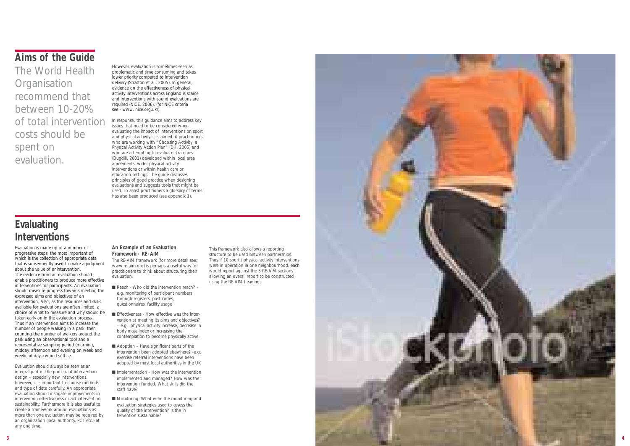# **Evaluating Interventions**

Evaluation is made up of a number of progressive steps, the most important of which is the collection of appropriate data that is subsequently used to make a judgment about the value of anintervention. The evidence from an evaluation should enable practitioners to produce more effective in terventions for participants. An evaluation should measure progress towards meeting the expressed aims and objectives of an intervention. Also, as the resources and skills available for evaluations are often limited, a choice of what to measure and why should be taken early on in the evaluation process. Thus if an intervention aims to increase the number of people walking in a park, then counting the number of walkers around the park using an observational tool and a representative sampling period (morning, midday, afternoon and evening on week and weekend days) would suffice.

Evaluation should always be seen as an integral part of the process of intervention design – especially new interventions, however, it is important to choose methods and type of data carefully. An appropriate evaluation should instigate improvements in intervention effectiveness or aid intervention sustainability. Furthermore it is also useful to create a framework around evaluations as more than one evaluation may be required by an organization (local authority, PCT etc.) at any one time.

- $\blacksquare$  Reach Who did the intervention reach? e.g. monitoring of participant numbers through registers, post codes, questionnaires, facility usage
- Effectiveness How effective was the intervention at meeting its aims and objectives? – e.g. physical activity increase, decrease in body mass index or increasing the contemplation to become physically active.
- Adoption Have significant parts of the intervention been adopted elsewhere? -e.g. exercise referral interventions have been adopted by most local authorities in the UK
- Implementation How was the intervention implemented and managed? How was the intervention funded. What skills did the staff have?
- Monitoring: What were the monitoring and evaluation strategies used to assess the quality of the intervention? Is the in tervention sustainable?

### **An Example of an Evaluation Framework:- RE-AIM**

The RE-AIM framework (for more detail see: www.re-aim.org) is perhaps a useful way for practitioners to think about structuring their evaluation.

This framework also allows a reporting structure to be used between partnerships. Thus if 10 sport / physical activity interventions were in operation in one neighbourhood, each would report against the 5 RE-AIM sections allowing an overall report to be constructed using the RE-AIM headings.



# **Aims of the Guide**

The World Health **Organisation** recommend that between 10-20% of total intervention costs should be spent on evaluation.

However, evaluation is sometimes seen as problematic and time consuming and takes lower priority compared to intervention delivery (Stratton et al., 2005). In general, evidence on the effectiveness of physical activity interventions across England is scarce and interventions with sound evaluations are required (NICE, 2006). (for NICE criteria see:- www. nice.org.uk/).

In response, this guidance aims to address key issues that need to be considered when evaluating the impact of interventions on sport and physical activity. It is aimed at practitioners who are working with "Choosing Activity: a Physical Activity Action Plan" (DH, 2005) and who are attempting to evaluate strategies (Dugdill, 2001) developed within local area agreements, wider physical activity interventions or within health care or education settings. The guide discusses principles of good practice when designing evaluations and suggests tools that might be used. To assist practitioners a glossary of terms has also been produced (see appendix 1).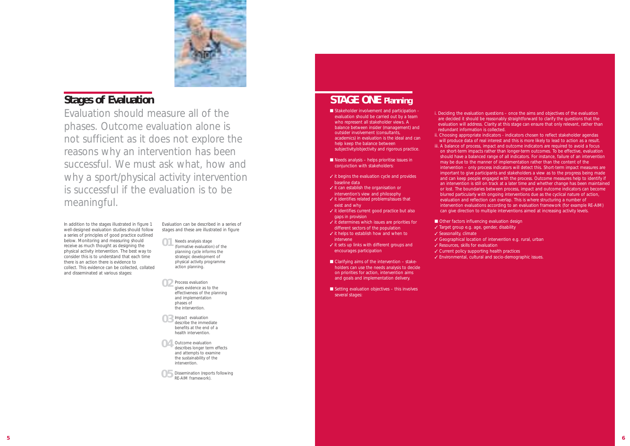# **STAGE ONE Planning**

- Stakeholder involvement and participation evaluation should be carried out by a team who represent all stakeholder views. A balance between insider (management) and outsider involvement (consultants, academics) in evaluation is the ideal and can help keep the balance between subjectivity/objectivity and rigorous practice.
- Needs analysis helps prioritise issues in conjunction with stakeholders:
- ✓ it begins the evaluation cycle and provides baseline data
- ✓ it can establish the organisation or
- intervention's view and philosophy ✓ it identifies related problems/issues that exist and why
- ✓ it identifies current good practice but also gaps in provision
- ✓ it determines which issues are priorities for different sectors of the population
- ✓ it helps to establish how and when to intervene
- ✓ it sets up links with different groups and encourages participation
- Clarifying aims of the intervention stakeholders can use the needs analysis to decide on priorities for action, intervention aims and goals and implementation delivery.
- Setting evaluation objectives this involves several stages:

i. Deciding the evaluation questions – once the aims and objectives of the evaluation are decided it should be reasonably straightforward to clarify the questions that the evaluation will address. Clarity at this stage can ensure that only relevant, rather than

- redundant information is collected.
- -

ii. Choosing appropriate indicators - indicators chosen to reflect stakeholder agendas will produce data of real interest and this is more likely to lead to action as a result. iii. A balance of process, impact and outcome indicators are required to avoid a focus on short-term impacts rather than longer-term outcomes. To be effective, evaluation should have a balanced range of all indicators. For instance, failure of an intervention may be due to the manner of implementation rather than the content of the intervention – only process indicators will detect this. Short-term impact measures are important to give participants and stakeholders a view as to the progress being made and can keep people engaged with the process. Outcome measures help to identify if an intervention is still on track at a later time and whether change has been maintained or lost. The boundaries between process, impact and outcome indicators can become blurred particularly with ongoing interventions due as the cyclical nature of action, evaluation and reflection can overlap. This is where structuring a number of intervention evaluations according to an evaluation framework (for example RE-AIM) can give direction to multiple interventions aimed at increasing activity levels.

■ Other factors influencing evaluation design

- Needs analysis stage (formative evaluation) of the planning cycle informs the strategic development of physical activity programme action planning. **01**
- 02 Process evaluation<br>gives evidence as t gives evidence as to the effectiveness of the planning and implementation phases of the intervention.
- O<sub>3</sub> Impact evaluation<br>describe the immed describe the immediate benefits at the end of a health intervention.
- **O4** Outcome evaluation<br>describes longer term describes longer term effects and attempts to examine the sustainability of the intervention.
- O 5 Dissemination (reports following<br>RE-AIM framework). RE-AIM framework).
- ✓ Target group e.g. age, gender, disability
- ✓ Seasonality, climate
- ✓ Resources, skills for evaluation
- 
- 

✓ Geographical location of intervention e.g. rural, urban

✓ Current policy supporting health practices

✓ Environmental, cultural and socio-demographic issues.

In addition to the stages illustrated in figure 1 well-designed evaluation studies should follow a series of principles of good practice outlined below. Monitoring and measuring should receive as much thought as designing the physical activity intervention. The best way to consider this is to understand that each time there is an action there is evidence to collect. This evidence can be collected, collated and disseminated at various stages:

Evaluation can be described in a series of stages and these are illustrated in figure



# **Stages of Evaluation**

Evaluation should measure all of the phases. Outcome evaluation alone is not sufficient as it does not explore the reasons why an intervention has been successful. We must ask what, how and why a sport/physical activity intervention is successful if the evaluation is to be meaningful.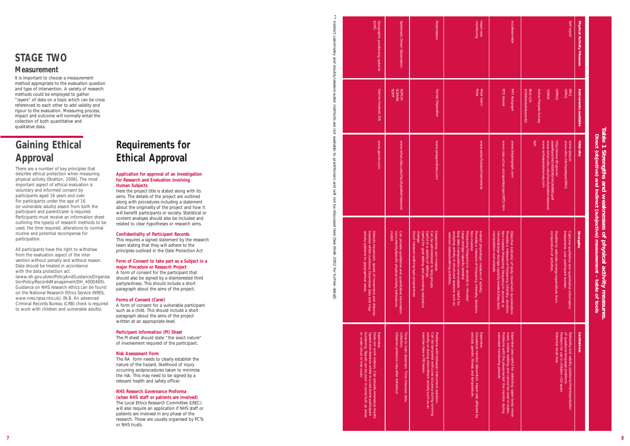# **STAGE TWO**

### **Measurement**

It is important to choose a measurement method appropriate to the evaluation question and type of intervention. A variety of research methods could be employed to gather "layers" of data on a topic which can be cross referenced to each other to add validity and rigour to the evaluation. Measuring process, impact and outcome will normally entail the collection of both quantitative and qualitative data.

\*\* Indirect calorimetry and doubly labeled water methods are not available to practitioners and will not be discussed here (See Welk 2002 for further detail).

and  $\leq$  $\overline{5}$ .<br>त्र e discus

nere (See

welk

2002 ĘOT - further

detail)

Indirect

t calorim

and

Kianop

labeled

methods

 $\overline{a}$ ் elde  $\vec{o}$ practitio

# **Gaining Ethical Approval**

# **Table 1 Strengths and weaknesses of physical activity measures.** Table 1 Strengths and weaknesses of<br>Direct (objective) and indirect (subjective) **Direct (objective) and indirect (subjective) measurement – table of tools** physical activity measures<br>measurement - table of tools

There are a number of key principles that describe ethical protection when measuring physical activity (Stratton, 2006). The most important aspect of ethical evaluation is voluntary and informed consent by participants aged 16 years and over. For participants under the age of 16 (or vulnerable adults) assent from both the participant and parent/carer is required. Participants must receive an information sheet outlining the type(s) of research methods to be used, the time required, alterations to normal routine and potential recompense for participation.

All participants have the right to withdraw from the evaluation aspect of the inter vention without penalty and without reason. Data should be treated in accordance with the data protection act (www.dh.gov.uk/en/PolicyAndGuidance/Organisa tionPolicy/RecordsManagement/DH\_4000489). Guidance on NHS research ethics can be found on the National Research Ethics Service (NRES; www.nres.npsa.nhs.uk). (N.B. An advanced Criminal Records Bureau (CRB) check is required to work with children and vulnerable adults).

# **Requirements for Ethical Approval**

| (GPS)<br>Geographic positioning systems                                                                                                                                                                               | Systematic Direct Observation                                                                                        | Pedometers                                                                                                                                                                                                     | monitoring<br>Heart rate                                                                                                                                                                                                                                                                                                                           | <b>Accelerometer</b>                                                                                                                                                                                                                                    | Self report<br>Physical Activity Measure                                                                                                                                                                |
|-----------------------------------------------------------------------------------------------------------------------------------------------------------------------------------------------------------------------|----------------------------------------------------------------------------------------------------------------------|----------------------------------------------------------------------------------------------------------------------------------------------------------------------------------------------------------------|----------------------------------------------------------------------------------------------------------------------------------------------------------------------------------------------------------------------------------------------------------------------------------------------------------------------------------------------------|---------------------------------------------------------------------------------------------------------------------------------------------------------------------------------------------------------------------------------------------------------|---------------------------------------------------------------------------------------------------------------------------------------------------------------------------------------------------------|
| Garmin foretrak 201                                                                                                                                                                                                   | <b>SOFIT</b><br><b>KV<sub>TdOS</sub></b><br>SOPARK                                                                   | Yamax Digiwalker                                                                                                                                                                                               | Polar<br>Polar team                                                                                                                                                                                                                                                                                                                                | RT3 triaxial<br>MTI Actigraph                                                                                                                                                                                                                           | <b>Active Peoples Survey</b><br><b>ObbAO</b><br><b>PAQ</b><br>(children/adolescents)<br><b>PAQ-C/A</b><br><b>GPAQ</b><br>Instruments available<br><b>7DPAR</b>                                          |
| www.garmin.com                                                                                                                                                                                                        | www.rohan.sdsu.edu/faculty/sallis/measures                                                                           | www.polygondirect.com                                                                                                                                                                                          | www.polar.fi/polar/channels/uk                                                                                                                                                                                                                                                                                                                     | www.casa.ucl.ac.uk/capableproject/RT3.htm<br>www.theactigraph.com                                                                                                                                                                                       | www.activepeoplesurvey.com<br>N/A<br>www.rohan.sdsu.edu/faculty/sallis/measures<br>assetRoot/04/14/08/80/04140880.pdf<br>http://www.dh.gov.uk/<br>www.who.int/chp/steps/GPAQ<br>www.ipaq.se<br>Web site |
| activity patterns to gepgraphical areas.<br>traveled whilst outdoors. Download data and map<br>Detects movement, speed of movement and distance                                                                       | coded.<br>concurrently.Specific physical activity behaviours<br>Can provide qualitative and quantitative information | change.<br>Useful in a variety of settings.<br>Inexpensive,<br>Useful for goal setting and promoting behaviour<br>Can be administered to larg groups.<br>Good measure walking type programmes<br>non-invasive. | analyzing activity in structured sessions such as<br>Easy data manipulation and analysis. Useful for<br>Large storage capacity (weeks)<br>Provides a measure of frequency, intensity, duration.<br>Indirect physiologic measure of activity,<br>Measuring frequency in seconds or minutes/<br>Non-invasive<br>exercise classes/walking activities. | minutes/Large storage capacity (weeks) Easy data<br>Non-invasive Measuring frequency in seconds or<br>Provides a measure of frequency, intensity, duration.<br>manipulation<br>Objective ind<br>licator of body movement (acceleration)<br>and analysis | compendium of activities.<br><b>Strengths</b><br>Inexpensive.<br>Captures qualitative and quantitative information<br>Possible to estimate energy expenditure from<br>Low participant burden.           |
| or under cloud or tree cover.<br>(speed and distance whilst in a car). Some participant<br>Does not work indoors. Can provide erroneous results<br>Expensive.<br>burdening. Signals can be poor in some bult up areas | collection.<br>Observer presence may alter behaviour<br>Time to train observers. Time intensive data                 | exercise class or PE lesson.<br>activity or during intermittent activity such as an<br>Can be tampered with Lose accuracy during running<br>Problems with between instrument variation.                        | arousal, gender, fitness and temperature.<br>Occasional monitor discomfort. Heart rate affected by<br>Expensive                                                                                                                                                                                                                                    | extended monitoring periods.<br>Problems with the placementof the monitor during<br>ment, incline walking and cannot be used in water.<br>Expensive Less useful for detecting upper body move-                                                          | Problem for use in children <10 years.<br>of questions-language problems.<br>Reliability and validity problems. Misinterpretation<br><b>Limitations</b><br>Potential recall bias                        |

### **Application for approval of an Investigation for Research and Evaluation involving Human Subjects**

Here the project title is stated along with its aims. The details of the project are outlined along with procedures including a statement about the originality of the project and how it will benefit participants or society. Statistical or content analsyes should also be included and related to clear hypotheses or research aims.

### **Confidentiality of Participant Records**

This requires a signed statement by the research team stating that they will adhere to the principles outlined in the Date Protection Act

### **Form of Consent to take part as a Subject in a major Procedure or Reseacrh Project**

A form of consent for the participant that should also be signed by a disinterested third party/witness. This should include a short paragraph about the aims of the project.

### **Forms of Consent (Carer)**

A form of consent for a vulnerable participant such as a child. This should include a short paragraph about the aims of the project written at an appropriate level.

### **Participant Information (PI) Sheet**

The PI sheet should state "the exact nature" of involvement required of the participant.

### **Risk Assessment Form**

The RA form needs to clearly establish the nature of the hazard, likelihood of injury occurring andprocedures taken to minimise the risk. This may need to be signed by a relevant health and safety officer.

### **NHS Research Governance Proforma**

**(when NHS staff or patients are involved)** The Local Ethics Research Committee (LREC) will also require an application if NHS staff or patients are invloved in any phase of the research. These are usually organised by PCTs or NHS trusts.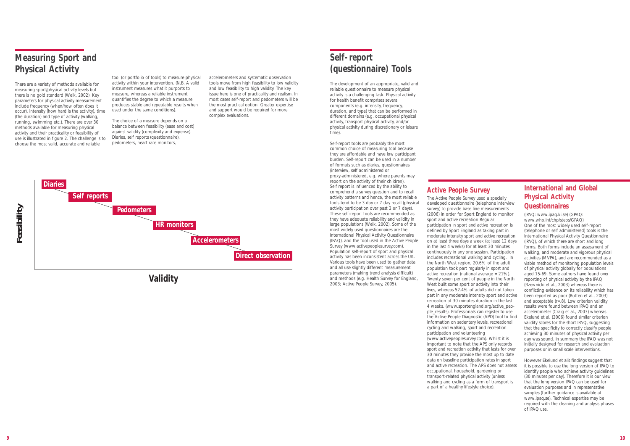# **Measuring Sport and Physical Activity**

There are a variety of methods available for measuring sport/physical activity levels but there is no gold standard (Welk, 2002). Key parameters for physical activity measurement include frequency (when/how often does it occur), intensity (how hard is the activity), time (the duration) and type of activity (walking, running, swimming etc.). There are over 30 methods available for measuring physical activity and their practicality or feasibility of use is illustrated in figure 2. The challenge is to choose the most valid, accurate and reliable

tool (or portfolio of tools) to measure physical activity within your intervention. (N.B. A valid instrument measures what it purports to measure, whereas a reliable instrument quantifies the degree to which a measure produces stable and repeatable results when used under the same conditions).

The choice of a measure depends on a balance between feasibility (ease and cost) against validity (complexity and expense). Diaries, self reports (questionnaire), pedometers, heart rate monitors,

accelerometers and systematic observation tools move from high feasibility to low validity and low feasibility to high validity. The key issue here is one of practicality and realism. In most cases self-report and pedometers will be the most practical option Greater expertise and support would be required for more complex evaluations.

# **Self-report (questionnaire) Tools**

The development of an appropriate, valid and reliable questionnaire to measure physical activity is a challenging task. Physical activity for health benefit comprises several components (e.g. intensity, frequency, duration, and type) that can be performed in different domains (e.g. occupational physical activity, transport physical activity, and/or physical activity during discretionary or leisure time).

Self-report tools are probably the most common choice of measuring tool because they are affordable and have low participant burden. Self-report can be used in a number of formats such as diaries, questionnaires (interview, self administered or proxy-administered, e.g. where parents may report on the activity of their children). Self report is influenced by the ability to comprehend a survey question and to recall activity patterns and hence, the most reliable tools tend to be 3 day or 7 day recall (physical activity participation over past 3 or 7 days). These self-report tools are recommended as they have adequate reliability and validity in large populations (Welk, 2002). Some of the most widely used questionnaires are the International Physical Activity Questionnaire (IPAQ), and the tool used in the Active People Survey (www.activepeoplesurvey.com). Population self-report of sport and physical activity has been inconsistent across the UK. Various tools have been used to gather data and all use slightly different measurement parameters (making trend analysis difficult) and methods (e.g. Health Survey for England, 2003; Active People Survey, 2005).

### **Active People Survey**

The Active People Survey used a specially developed questionnaire (telephone interview survey) to provide base line measurements (2006) in order for Sport England to monitor sport and active recreation Regular participation in sport and active recreation is defined by Sport England as taking part in moderate intensity sport and active recreation on at least three days a week (at least 12 days in the last 4 weeks) for at least 30 minutes continuously in any one session. Participation includes recreational walking and cycling. In the North West region, 20.6% of the adult population took part regularly in sport and active recreation (national average = 21%). Twenty seven per cent of people in the North West built some sport or activity into their lives, whereas 52.4% of adults did not taken part in any moderate intensity sport and active recreation of 30 minutes duration in the last 4 weeks. (www.sportengland.org/active\_people\_results). Professionals can register to use the Active People Diagnostic (APD) tool to find information on sedentary levels, recreational cycling and walking, sport and recreation participation and volunteering (www.activepeoplesurvey.com). Whilst it is important to note that the APS only records sport and recreation activity that lasts for over 30 minutes they provide the most up to date data on baseline participation rates in sport and active recreation. The APS does not assess occupational, household, gardening or transport-related physical activity (unless walking and cycling as a form of transport is a part of a healthy lifestyle choice).

### **International and Global Physical Activity Questionnaires**

(IPAQ: www.ipaq.ki.se) (GPAQ: www.who.int/chp/steps/GPAQ) One of the most widely used self-report (telephone or self administered) tools is the International Physical Activity Questionnaire (IPAQ), of which there are short and long forms. Both forms include an assessment of walking, and moderate and vigorous physical activities (MVPA), and are recommended as a viable method of monitoring population levels of physical activity globally for populations aged 15-69. Some authors have found over reporting of physical activity by the IPAQ (Rzewnicki et al., 2003) whereas there is conflicting evidence on its reliability which has been reported as poor (Rutten et al., 2003) and acceptable (r=.8). Low criterion validity results were found between IPAQ and an accelerometer (Craig et al., 2003) whereas Ekelund et al. (2006) found similar criterion validity scores for the short IPAQ, suggesting that the specificity to correctly classify people achieving 30 minutes of physical activity per day was sound. In summary the IPAQ was not initially designed for research and evaluation purposes or in small scale interventions.

However Ekelund et al's findings suggest that it is possible to use the long version of IPAQ to identify people who achieve activity guidelines (30 minutes per day). Therefore it is our view that the long version IPAQ can be used for evaluation purposes and in representative samples (further guidance is available at www.ipaq.se). Technical expertise may be required with the cleaning and analysis phases of IPAQ use.



**Validity**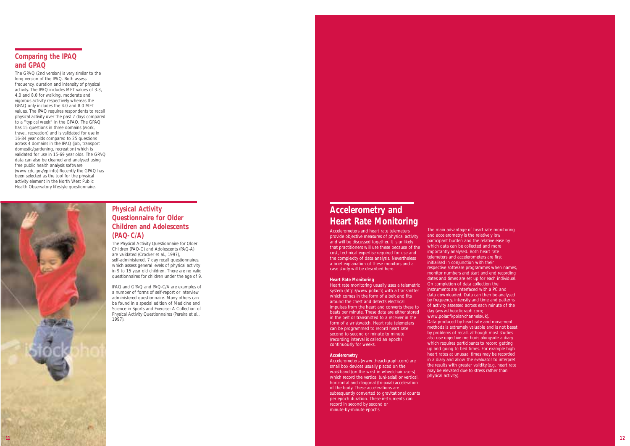## **Comparing the IPAQ and GPAQ**

The GPAQ (2nd version) is very similar to the long version of the IPAQ. Both assess frequency, duration and intensity of physical activity. The IPAQ includes MET values of 3.3, 4.0 and 8.0 for walking, moderate and vigorous activity respectively whereas the GPAQ only includes the 4.0 and 8.0 MET values. The IPAQ requires respondents to recall physical activity over the past 7 days compared to a "typical week" in the GPAQ. The GPAQ has 15 questions in three domains (work, travel, recreation) and is validated for use in 16-84 year olds compared to 25 questions across 4 domains in the IPAQ (job, transport domestic/gardening, recreation) which is validated for use in 15-69 year olds. The GPAQ data can also be cleaned and analysed using free public health analysis software (www.cdc.gov/epiinfo) Recently the GPAQ has been selected as the tool for the physical activity element in the North West Public Health Observatory lifestyle questionnaire.

### **Physical Activity Questionnaire for Older Children and Adolescents (PAQ-C/A)**

The Physical Activity Questionnaire for Older Children (PAQ-C) and Adolescents (PAQ-A) are validated (Crocker et al., 1997), self-administered, 7 day recall questionnaires, which assess general levels of physical activity in 9 to 15 year old children. There are no valid questionnaires for children under the age of 9.

IPAQ and GPAQ and PAQ-C/A are examples of a number of forms of self-report or interview administered questionnaire. Many others can be found in a special edition of Medicine and Science in Sports and Exercise: A Collection of Physical Activity Questionnaires (Pereira et al., 1997).

# **Accelerometry and Heart Rate Monitoring**

Accelerometers and heart rate telemeters provide objective measures of physical activity and will be discussed together. It is unlikely that practitioners will use these because of the cost, technical expertise required for use and the complexity of data analysis. Nevertheless a brief explanation of these monitors and a case study will be described here.

### **Heart Rate Monitoring**

Heart rate monitoring usually uses a telemetric system (http://www.polar.fi) with a transmitter which comes in the form of a belt and fits around the chest and detects electrical impulses from the heart and converts these to beats per minute. These data are either stored in the belt or transmitted to a receiver in the form of a wristwatch. Heart rate telemeters can be programmed to record heart rate second to second or minute to minute (recording interval is called an epoch) continuously for weeks.

### **Accelerometry**

Accelerometers (www.theactigraph.com) are small box devices usually placed on the waistband (on the wrist in wheelchair users) which record the vertical (uni-axial) or vertical, horizontal and diagonal (tri-axial) acceleration of the body. These accelerations are subsequently converted to gravitational counts per epoch duration. These instruments can record in second by second or minute-by-minute epochs.

The main advantage of heart rate monitoring and accelerometry is the relatively low participant burden and the relative ease by which data can be collected and more importantly analysed. Both heart rate telemeters and accelerometers are first initialised in conjunction with their respective software programmes when names, monitor numbers and start and end recording dates and times are set up for each individual. On completion of data collection the instruments are interfaced with a PC and data downloaded. Data can then be analysed by frequency, intensity and time and patterns of activity assessed across each minute of the day (www.theactigraph.com; www.polar.fi/polar/channels/uk). Data produced by heart rate and movement methods is extremely valuable and is not beset by problems of recall, although most studies also use objective methods alongside a diary which requires participants to record getting up and going to bed times. For example high heart rates at unusual times may be recorded in a diary and allow the evaluator to interpret the results with greater validity.(e.g. heart rate may be elevated due to stress rather than physical activity).

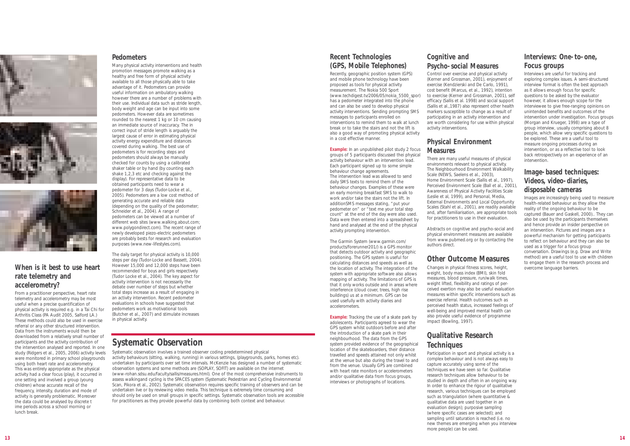





## **When is it best to use heart rate telemetry and accelerometry?**

From a practitioner perspective, heart rate telemetry and accelerometry may be most useful when a precise quantification of physical activity is required e.g. in a Tai Chi for Arthritis Class (PA Audit 2005, Salford LA.) These methods could also be used in exercise referral or any other structured intervention. Data from the instruments would then be downloaded from a relatively small number of participants and the activity contribution of the intervention analysed and reported. In one study (Ridgers et al., 2005, 2006) activity levels were monitored in primary school playgrounds using both heart rate and accelerometry. This was entirely appropriate as the physical activity had a clear focus (play), it occurred in one setting and involved a group (young children) whose accurate recall of the frequency, intensity, duration and mode of activity is generally problematic. Moreover the data could be analysed by discrete t ime periods across a school morning or lunch break.

### **Pedometers**

Many physical activity interventions and health promotion messages promote walking as a healthy and free form of physical activity available to all those physically able to take advantage of it. Pedometers can provide useful information on ambulatory walking however there are a number of problems with their use. Individual data such as stride length, body weight and age can be input into some pedometers. However data are sometimes rounded to the nearest 1 kg or 10 cm causing an immediate source of inaccuracy. The in correct input of stride length is arguably the largest cause of error in estimating physical activity energy expenditure and distances covered during walking. The best use of pedometers is for recording steps and pedometers should always be manually checked for counts by using a calibrated shaker table or by hand (by counting each shake 1,2,3 etc and checking against the display). For representative data to be obtained participants need to wear a pedometer for 3 days (Tudor-Locke et al. 2005). Pedometers are a low cost method of generating accurate and reliable data (depending on the quality of the pedometer; Schneider et al., 2004). A range of pedometers can be viewed at a number of different web sites (www.walking.about.com; www.polygondirect.com). The recent range of newly developed piezo-electric pedometers are probably bests for research and evaluation purposes (www.new-lifestyles.com).

The daily target for physical activity is 10,000 steps per day (Tudor-Locke and Bassett, 2004). However 15,000 and 12,000 steps have been recommended for boys and girls respectively (Tudor Locke et al., 2004). The key aspect for activity intervention is not necessarily the debate over number of steps but whether total steps increase as a result of engaging in an activity intervention. Recent pedometer evaluations in schools have suggested that pedometers work as motivational tools (Butcher et al., 2007) and stimulate increases in physical activity.

### **Recent Technologies (GPS, Mobile Telephones)**

Recently, geographic position system (GPS) and mobile phone technology have been proposed as tools for physical activity measurement. The Nokia 500 Sport (www.techdigest.tv/2006/05/nokia\_5500\_spor) has a pedometer integrated into the phone and can also be used to develop physical activity interventions. Sending prompting SMS messages to participants enrolled on interventions to remind them to walk at lunch break or to take the stairs and not the lift is also a good way of promoting physical activity in a cost effective manner.

**Example:** In an unpublished pilot study 2 focus groups of 5 participants discussed thei physical activity behaviour with an intervention lead. Each participant signed up to some simple behaviour change agreements. The intervention lead was allowed to send daily SMS texts to remind them of the behaviour changes. Examples of these were an early morning breakfast SMS to walk to work and/or take the stairs not the lift. In additionSMS messages stating, "put your pedometer on" or "text me your total step count" at the end of the day were also used. Data were then entered into a spreadsheet by hand and analysed at the end of the physical activity prompting intervention.

The Garmin System (www.garmin.com/ products/forerunner201/) is a GPS monitor that detects outdoor activity and geographic positioning. The GPS system is useful for calculating distances and speeds as well as the location of activity. The integration of the system with appropriate software also allows mapping of activity. The limitations of GPS is that it only works outside and in areas where interference (cloud cover, trees, high rise buildings) us at a minimum. GPS can be used usefully with activity diaries and accelerometers.

Systematic observation involves a trained observer coding predetermined physical activity behaviours (sitting, walking, running) in various settings, (playgrounds, parks, homes etc). undertaken by participants over set time intervals. McKenzie has designed a number of systematic observation systems and some methods are (SOPLAY, SOFIT) are available on the internet (www-rohan.sdsu.edu/faculty/sallis/measures.html). One of the most comprehensive instruments to assess walkingand cycling is the SPACES system (Systematic Pedestrian and Cycling Environmental Scan, Pikora et al., 2002). Systematic observation requires specific training of observers and can be undertaken live or by reviewing video media. This technique is extremely time consuming and should only be used on small groups in specific settings. Systematic observation tools are accessible for practitioners as they provide powerful data by combining both context and behaviour.

**Example:** Tracking the use of a skate park by adolescents. Participants agreed to wear the GPS system whilst outdoors before and after the introduction of a skate park in their neighbourhood. The data from the GPS system provided evidence of the geographical location of the skateboarders, their distance travelled and speeds attained not only whilst at the venue but also during the travel to and from the venue. Usually GPS are combined with heart rate monitors or accelerometers and/or qualitative data from focus groups, interviews or photographs of locations.

## **Cognitive and Psycho-social Measures**

Control over exercise and physical activity (Kerner and Grossman, 2001), enjoyment of exercise (Kendzierski and De Carlo, 1991), cost benefit (Marcus, et al., 1992), intention to exercise (Kerner and Grossman, 2001), self efficacy (Sallis et al. 1998) and social support (Sallis et al.,1987) also represent other health markers susceptible to change as a result of participating in an activity intervention and are worth considering for use within physical activity interventions.

### **Physical Environment Measures**

There are many useful measures of physical environments relevant to physical activity. The Neighbourhood Environment Walkability Scale (NEWS, Saelens et al., 2003), Home Environment Scale (Sallis et al., 1997), Perceived Environment Scale (Ball et al., 2001), Awareness of Physical Activity Facilities Scale (Leslie et al, 1999), and Personal, Media, External Environments and Local Opportunity Scales (Stahl et al., 2001), are readily available and, after familiarisation, are appropriate tools for practitioners to use in their evaluation.

Abstracts on cognitive and psycho-social and physical environment measures are available from www.pubmed.org or by contacting the authors direct.

# **Other Outcome Measures**

Changes in physical fitness scores, height, weight, body mass index (BMI), skin fold measures, blood pressure, run/walk times, weight lifted, flexibility and ratings of perceived exertion may also be useful evaluation measures within specific interventions such as exercise referral. Health outcomes such as perceived health status, increased feelings of well-being and improved mental health can also provide useful evidence of programme impact (Bowling, 1997).

# **Qualitative Research Techniques**

Participation in sport and physical activity is a complex behaviour and is not always easy to capture accurately using some of the techniques we have seen so far. Qualitative research techniques allow behaviour to be studied in depth and often in an ongoing way. In order to enhance the rigour of qualitative research, various techniques can be employed such as triangulation (where quantitative & qualitative data are used together in an evaluation design); purposive sampling (where specific cases are selected); and sampling until saturation is reached (i.e. no new themes are emerging when you interview more people) can be used.

### **Interviews: One-to-one, Focus groups**

Interviews are useful for tracking and exploring complex issues. A semi-structured interview format is often the best approach as it allows enough focus for specific questions to be asked by the evaluator however, it allows enough scope for the interviewee to give free-ranging opinions on unintended benefits and outcomes of the intervention under investigation. Focus groups (Morgan and Krueger, 1998) are a type of group interview, usually comprising about 8 people, which allow very specific questions to be explored. These are a useful tool to measure ongoing processes during an intervention, or as a reflective tool to look back retrospectively on an experience of an intervention.

## **Image-based techniques: Videos, video-diaries, disposable cameras**

Images are increasingly being used to measure health-related behaviour as they allow the reality of the ongoing behaviour to be captured (Bauer and Gaskell, 2000).. They can also be used by the participants themselves and hence provide an insider perspective on an intervention. Pictures and images are a powerful mechanism for getting participants to reflect on behaviour and they can also be used as a trigger for a focus group conversation. Drawings (e.g. Draw and Write method) are a useful tool to use with children to engage them in the research process and overcome language barriers.

# **Systematic Observation**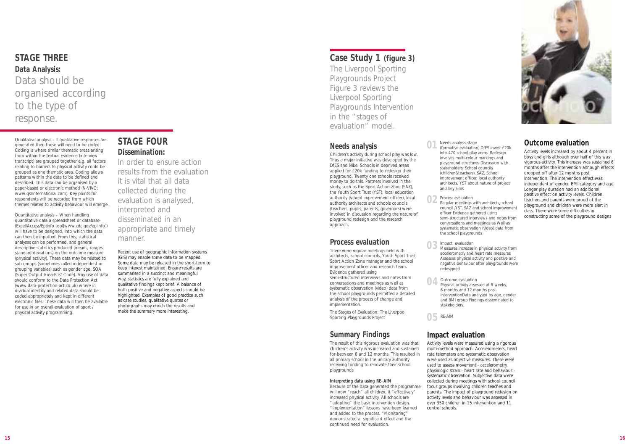# **STAGE THREE Data Analysis:**  Data should be organised according to the type of response.

Qualitative analysis - If qualitative responses are generated then these will need to be coded. Coding is where similar thematic areas arising from within the textual evidence (interview transcript) are grouped together e.g. all factors relating to barriers to physical activity could be grouped as one thematic area. Coding allows patterns within the data to be defined and described. This data can be organised by a paper-based or electronic method (N-VIVO; www.qsrinternational.com). Key points for respondents will be recorded from which themes related to activity behaviour will emerge.

Quantitative analysis – When handling quantitative data a spreadsheet or database (Excel/Access/Epiinfo tool[www.cdc.gov/epiinfo]) will have to be designed, into which the data can then be inputted. From this, statistical analyses can be performed, and general descriptive statistics produced (means, ranges, standard deviations) on the outcome measure (physical activity). These data may be related to sub groups (sometimes called independent or grouping variables) such as gender age, SOA (Super Output Area-Post Code). Any use of data should conform to the Data Protection Act (www.data-protection-act.co.uk) where in dividual identity and related data should be coded appropriately and kept in different electronic files. These data will then be available for use in an overall evaluation of sport / physical activity programming.

# **Case Study 1 (figure 3)**

The Liverpool Sporting Playgrounds Project Figure 3 reviews the Liverpool Sporting Playgrounds Intervention in the "stages of evaluation" model.

### **Needs analysis**

Children's activity during school play was low. Thus a major initiative was developed by the DfES and Nike. Schools in deprived areas applied for £20k funding to redesign their playground. Twenty one schools received money to do this. Partners involved in the study, such as the Sport Action Zone (SAZ), the Youth Sport Trust (YST), local education authority (school improvement officer), local authority architects and schools councils (teachers, pupils, parents, governors) were involved in discussion regarding the nature of playground redesign and the research approach.

### **Process evaluation**

There were regular meetings held with architects, school councils, Youth Sport Trust, Sport Action Zone manager and the school improvement officer and research team. Evidence gathered using semi-structured interviews and notes from conversations and meetings as well as systematic observation (video) data from the school playgrounds permitted a detailed analysis of the process of change and

implementation.

The Stages of Evaluation: The Liverpool Sporting Playgrounds Project

### **Summary Findings**

The result of this rigorous evaluation was that children's activity was increased and sustained for between 6 and 12 months. This resulted in all primary school in the unitary authority receiving funding to renovate their school playgrounds

### **Interpreting data using RE-AIM**

Because of the data generated the programme will now "reach" all children, it "effectively" increased physical activity. All schools are "adopting" the basic intervention design. "Implementation" lessons have been learned and added to the process. "Monitoring" demonstrated a significant effect and the continued need for evaluation.

# **Impact evaluation**

Activity levels were measured using a rigorous multi-method approach. Accelerometers, heart rate telemeters and systematic observation were used as objective measures. These were used to assess movement:- accelerometry, physiologic strain:- heart rate and behaviour: systematic observation. Subjective data were collected during meetings with school council focus groups involving children teaches and parents. The impact of playground redesign on activity levels and behaviour was assessed in over 350 children in 15 intervention and 11 control schools.

### **Outcome evaluation**

Activity levels increased by about 4 percent in boys and girls although over half of this was vigorous activity. This increase was sustained 6 months after the intervention although effects dropped off after 12 months post intervention. The intervention effect was independent of gender, BMI category and age. Longer play duration had an additional positive effect on activity levels. Children, teachers and parents were proud of the playground and children were more alert in class. There were some difficulties in constructing some of the playground designs

Regular meetings with architects, school council ,YST, SAZ and school improvement semi-structured interviews and notes from systematic observation (video) data from

Measures increase in physical activity from Assesses physical activity and positive and negative behaviour after playgrounds were

- Impact evaluation accelerometry and heart rate measures redesigned **03**
- **O4** Outcome evaluation<br> **04** Physical activity asses Physical activity assessed at 6 weeks, 6 months and 12 months post stakeholders.
- Needs analysis stage (formative evaluation) DfES invest £20k into 470 school play areas. Redesign involves multi-colour markings and playground structures Discussion with stakeholders: School councils (children&teachers), SAZ, School improvement officer, local authority architects, YST about nature of project and key aims **01**
	- Process evaluation officer Evidence gathered using conversations and meetings as Well as the school playgrounds

interventionData analysed by age, gender and BMI group Findings disseminated to

RE-AIM **05**

**02**

# **STAGE FOUR Dissemination:**

In order to ensure action results from the evaluation it is vital that all data collected during the evaluation is analysed, interpreted and disseminated in an appropriate and timely manner.

Recent use of geographic information systems (GIS) may enable some data to be mapped. Some data may be released in the short-term to keep interest maintained. Ensure results are summarised in a succinct and meaningful way, statistics are fully explained and qualitative findings kept brief. A balance of both positive and negative aspects should be highlighted. Examples of good practice such as case studies, qualitative quotes or photographs may enrich the results and make the summary more interesting.

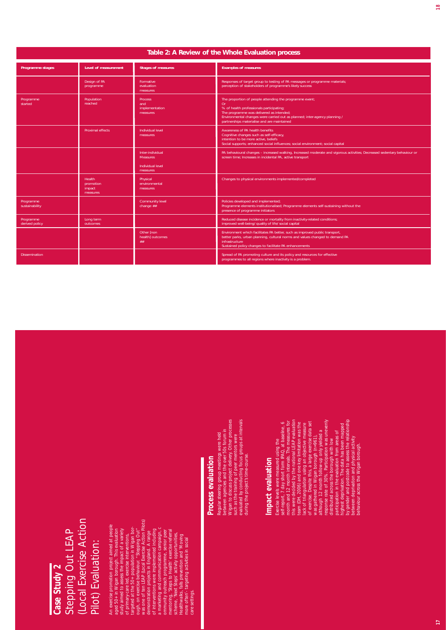# **Case Study 2** Stepping Out LEAP (Local Exercise Action Pilot) Evaluation:

# **Process evaluation**

# **Impact evaluation**

| Table 2: A Review of the Whole Evaluation process |                                              |                                                                                                                                                                                                                                                              |                                                                                                                                                                                                                                                                                                                                                                                                                                                                                                                                                                                                                                                                                                                                                                                                                             |  |  |
|---------------------------------------------------|----------------------------------------------|--------------------------------------------------------------------------------------------------------------------------------------------------------------------------------------------------------------------------------------------------------------|-----------------------------------------------------------------------------------------------------------------------------------------------------------------------------------------------------------------------------------------------------------------------------------------------------------------------------------------------------------------------------------------------------------------------------------------------------------------------------------------------------------------------------------------------------------------------------------------------------------------------------------------------------------------------------------------------------------------------------------------------------------------------------------------------------------------------------|--|--|
| Programme stages                                  | Level of measurement                         | <b>Stages of measures</b>                                                                                                                                                                                                                                    | <b>Examples of measures</b>                                                                                                                                                                                                                                                                                                                                                                                                                                                                                                                                                                                                                                                                                                                                                                                                 |  |  |
|                                                   | Design of PA<br>programme                    | Formative<br>evaluation<br>measures                                                                                                                                                                                                                          | Responses of target group to testing of PA messages or programme materials;<br>perception of stakeholders of programme's likely success                                                                                                                                                                                                                                                                                                                                                                                                                                                                                                                                                                                                                                                                                     |  |  |
| Programme<br>started                              | Population<br>reached                        | Process<br>and<br>implementation                                                                                                                                                                                                                             | The proportion of people attending the programme event;<br>Or<br>% of health professionals participating;                                                                                                                                                                                                                                                                                                                                                                                                                                                                                                                                                                                                                                                                                                                   |  |  |
|                                                   |                                              | measures                                                                                                                                                                                                                                                     | The programme was delivered as intended;<br>Environmental changes were carried out as planned; inter-agency planning /<br>partnerships materialise and are maintained                                                                                                                                                                                                                                                                                                                                                                                                                                                                                                                                                                                                                                                       |  |  |
|                                                   | Proximal effects                             | Individual level<br>measures                                                                                                                                                                                                                                 | Awareness of PA health benefits<br>Cognitive changes such as self-efficacy,<br>intention to be more active, beliefs<br>Social supports; enhanced social influences; social environment; social capital                                                                                                                                                                                                                                                                                                                                                                                                                                                                                                                                                                                                                      |  |  |
|                                                   |                                              | Inter-individual<br><b>Measures</b>                                                                                                                                                                                                                          | PA behavioural changes - increased walking, Increased moderate and vigorous activities; Decreased sedentary behaviour or<br>screen time; Increases in incidental PA, active transport                                                                                                                                                                                                                                                                                                                                                                                                                                                                                                                                                                                                                                       |  |  |
|                                                   |                                              | Individual level<br>measures                                                                                                                                                                                                                                 |                                                                                                                                                                                                                                                                                                                                                                                                                                                                                                                                                                                                                                                                                                                                                                                                                             |  |  |
|                                                   | Health<br>promotion<br>impact<br>measures    | Physical<br>environmental<br>measures                                                                                                                                                                                                                        | Changes to physical environments implemented/completed                                                                                                                                                                                                                                                                                                                                                                                                                                                                                                                                                                                                                                                                                                                                                                      |  |  |
| Programme<br>sustainability                       |                                              | Community level<br>change $##$                                                                                                                                                                                                                               | Policies developed and implemented;<br>Programme elements institutionalised; Programme elements self-sustaining without the<br>presence of programme initiators                                                                                                                                                                                                                                                                                                                                                                                                                                                                                                                                                                                                                                                             |  |  |
| Programme<br>derived policy                       | Long term<br>outcomes                        |                                                                                                                                                                                                                                                              | Reduced disease incidence or mortality from inactivity-related conditions;<br>improved well-being/ quality of life/ social capital                                                                                                                                                                                                                                                                                                                                                                                                                                                                                                                                                                                                                                                                                          |  |  |
|                                                   |                                              | Other [non<br>health] outcomes<br>##                                                                                                                                                                                                                         | Environment which facilitates PA better, such as improved public transport,<br>better parks, urban planning, cultural norms and values changed to demand PA<br>infrastructure                                                                                                                                                                                                                                                                                                                                                                                                                                                                                                                                                                                                                                               |  |  |
| <b>Dissemination</b>                              |                                              |                                                                                                                                                                                                                                                              | Sustained policy changes to facilitate PA enhancements<br>Spread of PA promoting culture and its policy and resources for effective<br>programmes to all regions where inactivity is a problem.                                                                                                                                                                                                                                                                                                                                                                                                                                                                                                                                                                                                                             |  |  |
|                                                   |                                              |                                                                                                                                                                                                                                                              |                                                                                                                                                                                                                                                                                                                                                                                                                                                                                                                                                                                                                                                                                                                                                                                                                             |  |  |
| Stepping Out LEAP<br>Case Study 2                 | (Local Exercise Action<br>Pilot) Evaluation: | An exercise promotion project aimed at people<br>aged 50+ in Wigan borough. This evaluation<br>study aimed to assess the impact of a variety<br>of primary-care led, exercise interventions,<br>targeted at the 50+ population in Wigan bo<br>care settings. | Exercise levels were measured using the<br>self-report, 7 day short form IPAQ, at baseline, 6<br>month and 12 month intervals. The measures for<br>this were decided by the national LEAP evaluation<br>team (DH, 2006) and one key limit<br>participation in the evaluation from areas of<br>highest deprivation. The data has been mapped<br>by gender and postcode to assess the relationship<br>between deprivation and physical activity<br>behaviour across the Wigan borough.<br>Regular steering group meetings were held<br>between agencies and the over 50s forum in<br>Wigan to discuss project delivery. Other processes<br>such as the training of peer mentors were<br>evaluated by conducting focus groups at inte<br>during the project's time-course<br>evaluation<br>Impact evaluation<br><b>Process</b> |  |  |
|                                                   |                                              |                                                                                                                                                                                                                                                              |                                                                                                                                                                                                                                                                                                                                                                                                                                                                                                                                                                                                                                                                                                                                                                                                                             |  |  |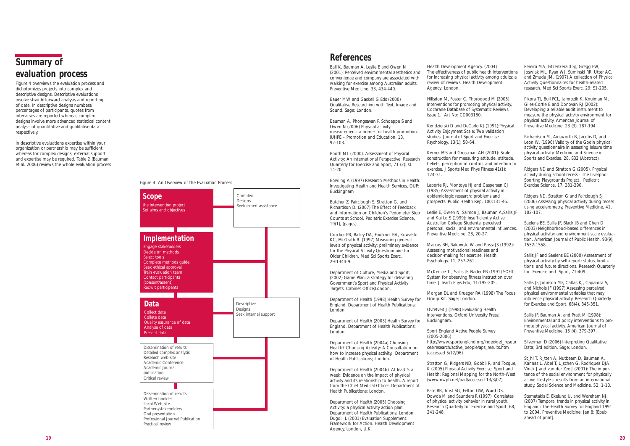# **References**

Ball K, Bauman A, Leslie E and Owen N (2001): Perceived environmental aesthetics and convenience and company are associated with walking for exercise among Australian adults. Preventive Medicine. 33, 434-440.

Bauer MW and Gaskell G Eds (2000) Qualitative Researching with Text, Image and Sound. Sage; London.

Bauman A, Phongsavan P, Schoeppe S and Owen N (2006) Physical activity measurement- a primer for health promotion. IUHPE – Promotion and Education, 13, 92-103.

Booth ML (2000). Assessment of Physical Activity: An International Perspective. Research Quarterly for Exercise and Sport, 71 (2): s1 14-20

Bowling A (1997) Research Methods in Health: Investigating Health and Health Services, OUP: Buckingham

Butcher Z, Fairclough S, Stratton G. and Richardson D. (2007) The Effect of Feedback and Information on Children's Pedometer Step Counts at School. Pediatric Exercise Science, 19(1), (pages)

Crocker PR, Bailey DA, Faulkner RA, Kowalski KC, McGrath R. (1997) Measuring general levels of physical activity: preliminary evidence for the Physical Activity Questionnaire for Older Children. Med Sci Sports Exerc. 29:1344-9.

Department of Culture, Media and Sport. (2002) Game Plan: a strategy for delivering Government's Sport and Physical Activity Targets. Cabinet Office;London.

Department of Health (1998) Health Survey for England. Department of Health Publications; London.

Department of Health (2003) Health Survey for England. Department of Health Publications; London.

Department of Health (2004a) Choosing Health? Choosing Activity: A Consultation on how to increase physical activity. Department of Health Publications; London.

Department of Health (2004b). At least 5 a week: Evidence on the impact of physical activity and its relationship to health. A report from the Chief Medical Officer. Department of Health Publications; London.

Department of Health (2005) Choosing Activity: a physical activity action plan. Department of Health Publications; London. Dugdill L (2001) Evaluation Supplement: Framework for Action. Health Development Agency, London, U.K.

Pikora TJ, Bull FCL, Jamrozik K, Knuiman M, Giles-Cortie B and Donovan RJ (2002): Developing a reliable audit instrument to measure the physical activity environment for physical activity. American Journal of Preventive Medicine, 23 (3), 187-194.

Health Development Agency. (2004) The effectiveness of public health interventions for increasing physical activity among adults: a review of reviews. Health Development Agency; London.

Hillsdon M, Foster C, Thorogood M (2005) Interventions for promoting physical activity, Cochrane Database of Systematic Reviews, Issue 1. Art No: CD003180.

Kendzierski D and DeCarlo KJ (1991):Physical Activity Enjoyment Scale: Two validation studies. Journal of Sport and Exercise Psychology, 13(1); 50-64.

Kerner MS and Grossman AH (2001): Scale construction for measuring attitude, attitude, beliefs, perception of control, and intention to exercise. J Sports Med Phys Fitness 41(1): 124-31.

Laporte RJ, Montoye HJ and Caspersen CJ (1985) Assessment of physical activity in epidemiologic research: problems and prospects. Public Health Rep, 100:131-46.

Leslie E, Owen N, Salmon J, Bauman A,Sallis JF and Kai Lo S (1999): Insufficiently Active Australian College Students: perceived personal, social, and environmental influences. Preventive Medicine. 28, 20-27.

> St\_hl T, R\_tten A, Nutbeam D, Bauman A, Kannas L, Abel T, L\_schen G, Rodriquez DJA, Vinck J and van der Zee J (2001): The importance of the social environment for physically active lifestyle – results from an international study. Social Science and Medicine. 52, 1-10.

Marcus BH, Rakowski W and Rossi JS (1992): Assessing motivational readiness and decision-making for exercise. Health Psychology. 11, 257-261.

McKenzie TL, Sallis JF, Nader PR (1991) SOFIT: System for observing fitness instruction over time. J Teach Phys Edu, 11:195-205.

Morgan DL and Krueger RA (1998) The Focus Group Kit. Sage; London.

Ovretveit J (1998) Evaluating Health Interventions. Oxford University Press; Buckingham.

Sport England Active People Survey (2005-2006) http://www.sportengland.org/index/get\_resour ces/research/active\_people/aps\_results.htm (accessed 5/12/06)

Stratton G, Ridgers ND, Gobbii R, and Tocque, K (2005) Physical Activity Exercise, Sport and Health: Regional Mapping for the North-West. (www.nwph.net/pad/accessed 13/3/07)

Pate RR, Trost SG, Felton GW, Ward DS, Dowda M and Saunders R (1997). Correlates of physical activity behavior in rural youth. Research Quarterly for Exercise and Sport, 68, 241-248.

Pereira MA, FitzerGerald SJ, Gregg EW, Joswiak ML, Ryan WJ, Suminski RR, Utter AC, and Zmuda JM. (1997) A collection of Physical Activity Questionnaires for health-related research. Med Sci Sports Exerc. 29: S1-205.

Richardson M, Ainsworth B, Jacobs D, and Leon W. (1996) Validity of the Godin physical activity questionnaire in assessing leisure time physical activity. Medicine and Science in Sports and Exercise, 28, S32 (Abstract).

Ridgers ND and Stratton G (2005). Physical activity during school recess - The Liverpool Sporting Playgrounds Project. Pediatric Exercise Science, 17, 281-290.

Ridgers ND, Stratton G and Fairclough SJ (2006) Assessing physical activity during recess using accelerometry, Preventive Medicine, 41, 102-107.

Saelens BE, Sallis JF, Black JB and Chen D (2003) Neighborhood-based differences in physical activity: and environment scale evaluation. American Journal of Public Health. 93(9), 1552-1558.

Sallis JF and Saelens BE (2000) Assessment of physical activity by self-report: status, limitations, and future directions. Research Quarterly for Exercise and Sport, 71:409.

Sallis JF, Johnson MF, Calfas KJ, Caparosa S, and Nichols JF (1997) Assessing perceived physical environmental variables that may influence physical activity. Research Quarterly for Exercise and Sport. 68(4), 345-351.

Sallis JF, Bauman A, and Pratt M (1998): Environmental and policy interventions to promote physical activity. American Journal of Preventive Medicine. 15 (4), 379-397.

Silverman D (2006) Interpreting Qualitative Data; 3rd edition. Sage; London.

Stamatakis E, Ekelund U, and Wareham NJ. (2007) Temporal trends in physical activity in England: The Health Survey for England 1991 to 2004. Preventive Medicine. Jan 8; [Epub ahead of print].

# **Summary of evaluation process**

Figure 4 overviews the evaluation process and dichotomizes projects into complex and descriptive designs. Descriptive evaluations involve straightforward analysis and reporting of data. In descriptive designs numbers/ percentages of participants, quotes from interviews are reported whereas complex designs involve more advanced statistical content analysis of quantitative and qualitative data respectively.

In descriptive evaluations expertise within your organization or partnership may be sufficient whereas for complex designs, external support and expertise may be required. Table 2 (Bauman et al. 2006) reviews the whole evaluation process